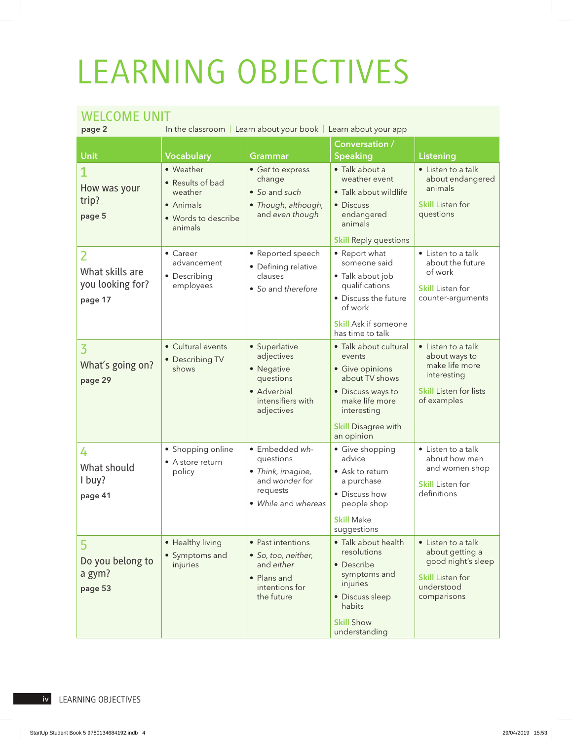## LEARNING OBJECTIVES

## WELCOME UNIT

In the classroom | Learn about your book | Learn about your app Unit **Vocabulary** Grammar Conversation /<br>Speaking Speaking Pronunciation Reading Pronunciation Reading Property Reading Presentation Reserves Architecture Prese • Weather • *Get* to express • Talk about a

| How was your<br>trip?<br>page 5                     | • Weather<br>• Results of bad<br>weather<br>• Animals<br>· Words to describe<br>animals | • Get to express<br>change<br>• So and such<br>• Though, although,<br>and even though                    | • Talk about a<br>weather event<br>• Talk about wildlife<br>• Discuss<br>endangered<br>animals<br><b>Skill Reply questions</b>                                         | • Listen to a talk<br>about endangered<br>animals<br><b>Skill Listen for</b><br>questions                            |
|-----------------------------------------------------|-----------------------------------------------------------------------------------------|----------------------------------------------------------------------------------------------------------|------------------------------------------------------------------------------------------------------------------------------------------------------------------------|----------------------------------------------------------------------------------------------------------------------|
| 2<br>What skills are<br>you looking for?<br>page 17 | $\bullet$ Career<br>advancement<br>• Describing<br>employees                            | • Reported speech<br>• Defining relative<br>clauses<br>• So and therefore                                | • Report what<br>someone said<br>• Talk about job<br>qualifications<br>• Discuss the future<br>of work<br><b>Skill Ask if someone</b><br>has time to talk              | • Listen to a talk<br>about the future<br>of work<br><b>Skill</b> Listen for<br>counter-arguments                    |
| 3<br>What's going on?<br>page 29                    | • Cultural events<br>• Describing TV<br>shows                                           | • Superlative<br>adjectives<br>• Negative<br>questions<br>• Adverbial<br>intensifiers with<br>adjectives | • Talk about cultural<br>events<br>• Give opinions<br>about TV shows<br>• Discuss ways to<br>make life more<br>interesting<br><b>Skill Disagree with</b><br>an opinion | • Listen to a talk<br>about ways to<br>make life more<br>interesting<br><b>Skill Listen for lists</b><br>of examples |
| 4<br>What should<br>I buy?<br>page 41               | • Shopping online<br>• A store return<br>policy                                         | · Embedded wh-<br>questions<br>• Think, imagine,<br>and wonder for<br>requests<br>• While and whereas    | • Give shopping<br>advice<br>• Ask to return<br>a purchase<br>• Discuss how<br>people shop<br><b>Skill Make</b><br>suggestions                                         | • Listen to a talk<br>about how men<br>and women shop<br><b>Skill</b> Listen for<br>definitions                      |
| 5<br>Do you belong to<br>a gym?<br>page 53          | • Healthy living<br>• Symptoms and<br>injuries                                          | • Past intentions<br>· So, too, neither,<br>and either<br>• Plans and<br>intentions for<br>the future    | · Talk about health<br>resolutions<br>• Describe<br>symptoms and<br>injuries<br>· Discuss sleep<br>habits<br><b>Skill Show</b><br>understanding                        | • Listen to a talk<br>about getting a<br>good night's sleep<br><b>Skill Listen for</b><br>understood<br>comparisons  |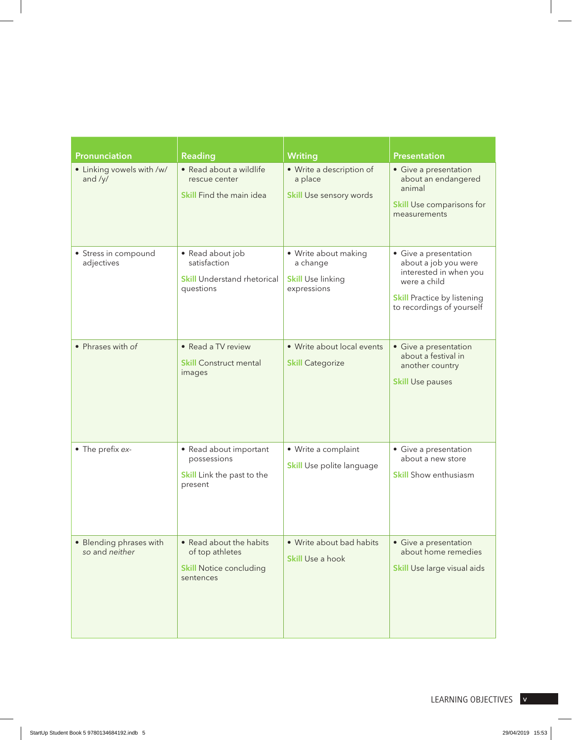| Pronunciation                             | <b>Reading</b>                                                                            | Writing                                                                     | <b>Presentation</b>                                                                                                                                        |
|-------------------------------------------|-------------------------------------------------------------------------------------------|-----------------------------------------------------------------------------|------------------------------------------------------------------------------------------------------------------------------------------------------------|
| • Linking vowels with /w/<br>and /y/      | · Read about a wildlife<br>rescue center<br>Skill Find the main idea                      | • Write a description of<br>a place<br>Skill Use sensory words              | • Give a presentation<br>about an endangered<br>animal<br>Skill Use comparisons for<br>measurements                                                        |
| • Stress in compound<br>adjectives        | • Read about job<br>satisfaction<br><b>Skill Understand rhetorical</b><br>questions       | · Write about making<br>a change<br><b>Skill Use linking</b><br>expressions | • Give a presentation<br>about a job you were<br>interested in when you<br>were a child<br><b>Skill Practice by listening</b><br>to recordings of yourself |
| • Phrases with of                         | • Read a TV review<br><b>Skill Construct mental</b><br>images                             | • Write about local events<br><b>Skill Categorize</b>                       | • Give a presentation<br>about a festival in<br>another country<br><b>Skill Use pauses</b>                                                                 |
| • The prefix ex-                          | • Read about important<br>possessions<br>Skill Link the past to the<br>present            | • Write a complaint<br>Skill Use polite language                            | • Give a presentation<br>about a new store<br><b>Skill Show enthusiasm</b>                                                                                 |
| • Blending phrases with<br>so and neither | • Read about the habits<br>of top athletes<br><b>Skill Notice concluding</b><br>sentences | • Write about bad habits<br>Skill Use a hook                                | • Give a presentation<br>about home remedies<br>Skill Use large visual aids                                                                                |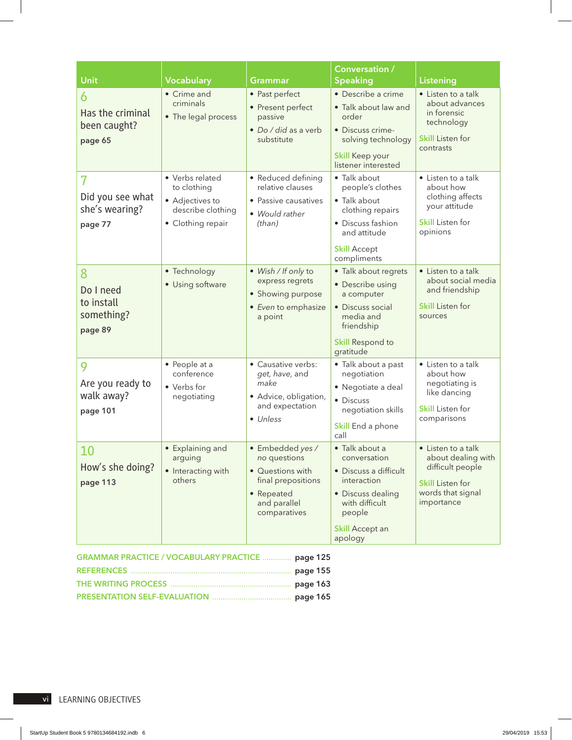|                                                       |                                                                                             |                                                                                                                          | Conversation /                                                                                                                                               |                                                                                                                            |
|-------------------------------------------------------|---------------------------------------------------------------------------------------------|--------------------------------------------------------------------------------------------------------------------------|--------------------------------------------------------------------------------------------------------------------------------------------------------------|----------------------------------------------------------------------------------------------------------------------------|
| Unit                                                  | Vocabulary                                                                                  | <b>Grammar</b>                                                                                                           | <b>Speaking</b>                                                                                                                                              | Listening                                                                                                                  |
| 6<br>Has the criminal<br>been caught?<br>page 65      | • Crime and<br>criminals<br>• The legal process                                             | • Past perfect<br>• Present perfect<br>passive<br>· Do / did as a verb<br>substitute                                     | • Describe a crime<br>• Talk about law and<br>order<br>• Discuss crime-<br>solving technology<br><b>Skill Keep your</b><br>listener interested               | • Listen to a talk<br>about advances<br>in forensic<br>technology<br><b>Skill Listen for</b><br>contrasts                  |
| 7<br>Did you see what<br>she's wearing?<br>page 77    | • Verbs related<br>to clothing<br>• Adjectives to<br>describe clothing<br>• Clothing repair | • Reduced defining<br>relative clauses<br>• Passive causatives<br>• Would rather<br>(than)                               | • Talk about<br>people's clothes<br>• Talk about<br>clothing repairs<br>• Discuss fashion<br>and attitude<br><b>Skill Accept</b><br>compliments              | • Listen to a talk<br>about how<br>clothing affects<br>your attitude<br><b>Skill</b> Listen for<br>opinions                |
| 8<br>Do I need<br>to install<br>something?<br>page 89 | • Technology<br>• Using software                                                            | • Wish / If only to<br>express regrets<br>• Showing purpose<br>• Even to emphasize<br>a point                            | • Talk about regrets<br>• Describe using<br>a computer<br>• Discuss social<br>media and<br>friendship<br><b>Skill Respond to</b><br>gratitude                | • Listen to a talk<br>about social media<br>and friendship<br><b>Skill Listen for</b><br>sources                           |
| 9<br>Are you ready to<br>walk away?<br>page 101       | • People at a<br>conference<br>• Verbs for<br>negotiating                                   | • Causative verbs:<br>get, have, and<br>make<br>· Advice, obligation,<br>and expectation<br>• Unless                     | · Talk about a past<br>negotiation<br>• Negotiate a deal<br>• Discuss<br>negotiation skills<br>Skill End a phone<br>call                                     | • Listen to a talk<br>about how<br>negotiating is<br>like dancing<br><b>Skill</b> Listen for<br>comparisons                |
| 10<br>How's she doing?<br>page 113                    | • Explaining and<br>arguing<br>• Interacting with<br>others                                 | · Embedded yes /<br>no questions<br>• Questions with<br>final prepositions<br>• Repeated<br>and parallel<br>comparatives | • Talk about a<br>conversation<br>• Discuss a difficult<br>interaction<br>· Discuss dealing<br>with difficult<br>people<br><b>Skill Accept an</b><br>apology | • Listen to a talk<br>about dealing with<br>difficult people<br><b>Skill Listen for</b><br>words that signal<br>importance |